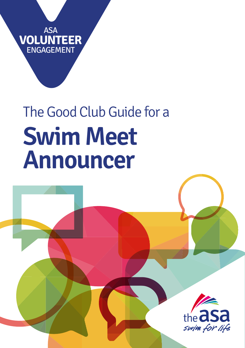**VOLUNTEER** ASA ENGAGEMENT

# The Good Club Guide for a **Swim Meet Announcer**

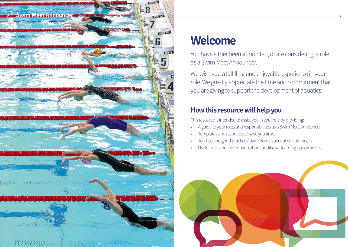

## **Welcome**

You have either been appointed, or are considering, a role as a Swim Meet Announcer.

We wish you a fulfilling and enjoyable experience in your role. We greatly appreciate the time and commitment that you are giving to support the development of aquatics.

## **How this resource will help you**

This resource is intended to assist you in your role by providing:

- A guide to your roles and responsibilities as a Swim Meet Announcer.
- Templates and resources to save you time.
- Top tips and good practice advice from experienced volunteers.
- Useful links and information about additional learning opportunities.

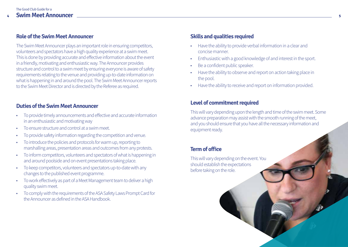#### **Role of the Swim Meet Announcer**

The Swim Meet Announcer plays an important role in ensuring competitors, volunteers and spectators have a high quality experience at a swim meet. This is done by providing accurate and effective information about the event in a friendly, motivating and enthusiastic way. The Announcer provides structure and control to a swim meet by ensuring everyone is aware of safety requirements relating to the venue and providing up-to-date information on what is happening in and around the pool. The Swim Meet Announcer reports to the Swim Meet Director and is directed by the Referee as required.

#### **Duties of the Swim Meet Announcer**

- To provide timely announcements and effective and accurate information in an enthusiastic and motivating way
- To ensure structure and control at a swim meet.
- To provide safety information regarding the competition and venue.
- To introduce the policies and protocols for warm up, reporting to marshalling areas, presentation areas and outcomes from any protests.
- To inform competitors, volunteers and spectators of what is happening in and around poolside and on event presentations taking place.
- To keep competitors, volunteers and spectators up-to-date with any changes to the published event programme.
- To work effectively as part of a Meet Management team to deliver a high quality swim meet.
- To comply with the requirements of the ASA Safety Laws Prompt Card for the Announcer as defined in the ASA Handbook.

## **Skills and qualities required**

- Have the ability to provide verbal information in a clear and concise manner.
- Enthusiastic with a good knowledge of and interest in the sport.
- Be a confident public speaker.
- Have the ability to observe and report on action taking place in the pool.
- Have the ability to receive and report on information provided.

#### **Level of commitment required**

This will vary depending upon the length and time of the swim meet. Some advance preparation may assist with the smooth running of the meet, and you should ensure that you have all the necessary information and equipment ready.

## **Term of office**

This will vary depending on the event. You should establish the expectations before taking on the role.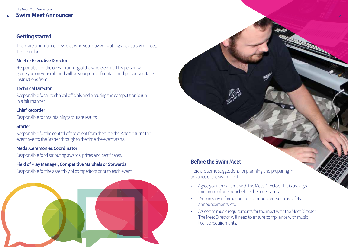## **Getting started**

There are a number of key roles who you may work alongside at a swim meet. These include:

#### **Meet or Executive Director**

Responsible for the overall running of the whole event. This person will guide you on your role and will be your point of contact and person you take instructions from.

#### **Technical Director**

Responsible for all technical officials and ensuring the competition is run in a fair manner.

#### **Chief Recorder**

Responsible for maintaining accurate results.

#### **Starter**

Responsible for the control of the event from the time the Referee turns the event over to the Starter through to the time the event starts.

#### **Medal Ceremonies Coordinator**

Responsible for distributing awards, prizes and certificates.

#### **Field of Play Manager, Competitive Marshals or Stewards**

Responsible for the assembly of competitors prior to each event.



## **Before the Swim Meet**

Here are some suggestions for planning and preparing in advance of the swim meet:

- Agree your arrival time with the Meet Director. This is usually a minimum of one hour before the meet starts.
- Prepare any information to be announced, such as safety announcements, etc.
- Agree the music requirements for the meet with the Meet Director. The Meet Director will need to ensure compliance with music license requirements.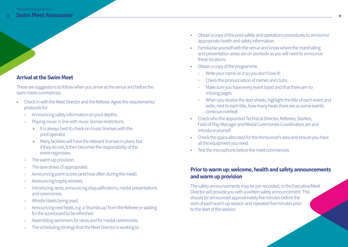## **Arrival at the Swim Meet**

These are suggestions to follow when you arrive at the venue and before the swim meet commences:

- Check in with the Meet Director and the Referee. Agree the requirements/ protocols for:
	- Announcing safety information on pool depths.
	- Playing music in line with music license restrictions.
		- » It is always best to check on music licenses with the pool operator.
		- » Many facilities will have the relevant licenses in place, but if they do not, it then becomes the responsibility of the event organisers.
	- › The warm up provision.
	- › The lane draws (if appropriate).
	- › Announcing point scores (and how often during the meet).
	- › Announcing trophy winners.
	- Introducing races, announcing disqualifications, medal presentations and ceremonies.
	- › Whistle blasts being used.
	- › Announcing next heats, e.g. a 'thumbs up' from the Referee or waiting for the scoreboard to be refreshed.
	- Assembling swimmers for races and for medal ceremonies.
	- The scheduling/timings that the Meet Director is working to
- Obtain a copy of the pool safety and operations procedures to announce appropriate health and safety information.
- Familiarise yourself with the venue and know where the marshalling and presentation areas are on poolside as you will need to announce these locations.
- Obtain a copy of the programme.
	- › Write your name on it so you don't lose it!
	- › Check the pronunciation of names and clubs.
	- Make sure you have every event listed and that there are no missing pages.
	- When you receive the start sheets, highlight the title of each event and write, next to each title, how many heats there are as some events continue overleaf.
- Check who the appointed Technical Director, Referees, Starters, Field of Play Manager and Medal Ceremonies Coordinators are and introduce yourself.
- Check the space allocated for the Announcer's area and ensure you have all the equipment you need.
- Test the microphone before the meet commences.

## **Prior to warm up: welcome, health and safety announcements and warm up provision**

The safety announcements may be pre-recorded, or the Executive/Meet Director will provide you with a written safety announcement. This should be announced approximately five minutes before the start of each warm up session and repeated five minutes prior to the start of the session.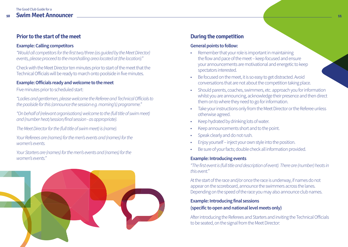## **Prior to the start of the meet**

#### **Example: Calling competitors**

*"Would all competitors for the first two/three (as guided by the Meet Director) events, please proceed to the marshalling area located at (the location)."*

Check with the Meet Director ten minutes prior to start of the meet that the Technical Officials will be ready to march onto poolside in five minutes.

#### **Example: Officials ready and welcome to the meet**

Five minutes prior to scheduled start:

*"Ladies and gentlemen, please welcome the Referee and Technical Officials to the poolside for this (announce the session e.g. morning's) programme."*

*"On behalf of (relevant organisations) welcome to the (full title of swim meet) and (number heat/session/final session - as appropriate).*

*The Meet Director for the (full title of swim meet) is (name).*

*Your Referees are (names) for the men's events and (names) for the women's events.*

*Your Starters are (names) for the men's events and (names) for the women's events."*



## **During the competition**

#### **General points to follow:**

- Remember that your role is important in maintaining the flow and pace of the meet – keep focused and ensure your announcements are motivational and energetic to keep spectators interested.
- Be focused on the meet, it is so easy to get distracted. Avoid conversations that are not about the competition taking place.
- Should parents, coaches, swimmers, etc. approach you for information whilst you are announcing, acknowledge their presence and then direct them on to where they need to go for information.
- Take your instructions only from the Meet Director or the Referee unless otherwise agreed.
- Keep hydrated by drinking lots of water.
- Keep announcements short and to the point.
- Speak clearly and do not rush.
- Enjoy yourself inject your own style into the position.
- Be sure of your facts; double check all information provided.

#### **Example: Introducing events**

*"The first event is (full title and description of event). There are (number) heats in this event."*

At the start of the race and/or once the race is underway, if names do not appear on the scoreboard, announce the swimmers across the lanes. Depending on the speed of the race you may also announce club names.

#### **Example: Introducing final sessions (specific to open and national level meets only)**

After introducing the Referees and Starters and inviting the Technical Officials to be seated, on the signal from the Meet Director: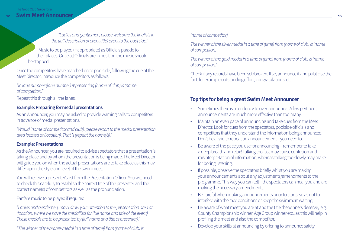*"Ladies and gentlemen, please welcome the finalists in the (full description of event title) event to the pool side."*

Music to be played (if appropriate) as Officials parade to their places. Once all Officials are in position the music should be stopped.

Once the competitors have marched on to poolside, following the cue of the Meet Director, introduce the competitors as follows:

*"In lane number (lane number) representing (name of club) is (name of competitor)."*

Repeat this through all the lanes.

#### **Example: Preparing for medal presentations**

As an Announcer, you may be asked to provide warning calls to competitors in advance of medal presentations.

*"Would (name of competitor and club), please report to the medal presentation area located at (location). That is (repeat the name/s)."*

#### **Example: Presentations**

As the Announcer, you are required to advise spectators that a presentation is taking place and by whom the presentation is being made. The Meet Director will guide you on when the actual presentations are to take place as this may differ upon the style and level of the swim meet.

You will receive a presenter's list from the Presentation Officer. You will need to check this carefully to establish the correct title of the presenter and the correct name(s) of competitors as well as the pronunciation.

Fanfare music to be played if required.

*"Ladies and gentlemen, may I draw your attention to the presentation area at (location) where we have the medallists for (full name and title of the event). These medals are to be presented by (full name and title of presenter)."* 

*"The winner of the bronze medal in a time of (time) from (name of club) is* 

#### *(name of competitor).*

*The winner of the silver medal in a time of (time) from (name of club) is (name of competitor).*

*The winner of the gold medal in a time of (time) from (name of club) is (name of competitor)."* 

Check if any records have been set/broken. If so, announce it and publicise the fact, for example outstanding effort, congratulations, etc.

#### **Top tips for being a great Swim Meet Announcer**

- Sometimes there is a tendency to over-announce. A few pertinent announcements are much more effective than too many.
- Maintain an even pace of announcing and take cues from the Meet Director. Look for cues from the spectators, poolside officials and competitors that they understand the information being announced. Don't be afraid to repeat an announcement if you need to.
- Be aware of the pace you use for announcing remember to take a deep breath and relax! Talking too fast may cause confusion and misinterpretation of information, whereas talking too slowly may make for boring listening.
- If possible, observe the spectators briefly whilst you are making your announcements about any adjustments/amendments to the programme. This way you can tell if the spectators can hear you and are making the necessary amendments.
- Be careful when making announcements prior to starts, so as not to interfere with the race conditions or keep the swimmers waiting.
- Be aware of what meet you are at and the title the winners deserve, e.g. County Championship winner, Age Group winner etc., as this will help in profiling the meet and also the competitor.
- Develop your skills at announcing by offering to announce safety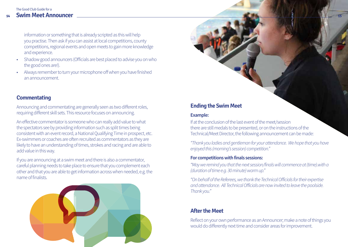#### **14 15 Swim Meet Announcer**The Good Club Guide for a

information or something that is already scripted as this will help you practise. Then ask if you can assist at local competitions, county competitions, regional events and open meets to gain more knowledge and experience.

- Shadow good announcers (Officials are best placed to advise you on who the good ones are!).
- Always remember to turn your microphone off when you have finished an announcement.

## **Commentating**

Announcing and commentating are generally seen as two different roles, requiring different skill sets. This resource focuses on announcing.

An effective commentator is someone who can really add value to what the spectators see by providing information such as split times being consistent with an event record, a National Qualifying Time in prospect, etc. Ex-swimmers or coaches are often recruited as commentators as they are likely to have an understanding of times, strokes and racing and are able to add value in this way.

If you are announcing at a swim meet and there is also a commentator, careful planning needs to take place to ensure that you complement each other and that you are able to get information across when needed, e.g. the name of finalists.



## **Ending the Swim Meet**

#### **Example:**

If at the conclusion of the last event of the meet/session there are still medals to be presented, or on the instructions of the Technical/Meet Director, the following announcement can be made:

*"Thank you ladies and gentleman for your attendance. We hope that you have enjoyed this (morning's session) competition."*

#### **For competitions with finals sessions:**

*"May we remind you that the next session/finals will commence at (time).with a (duration of time e.g. 30 minute) warm up."*

*"On behalf of the Referees, we thank the Technical Officials for their expertise and attendance. All Technical Officials are now invited to leave the poolside. Thank you."*

## **After the Meet**

Reflect on your own performance as an Announcer; make a note of things you would do differently next time and consider areas for improvement.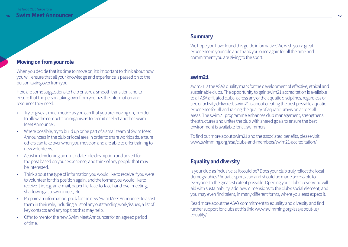## **Moving on from your role**

When you decide that it's time to move on, it's important to think about how you will ensure that all your knowledge and experience is passed on to the person taking over from you.

Here are some suggestions to help ensure a smooth transition, and to ensure that the person taking over from you has the information and resources they need:

- Try to give as much notice as you can that you are moving on, in order to allow the competition organisers to recruit or elect another Swim Meet Announcer.
- Where possible, try to build up or be part of a small team of Swim Meet Announcers in the club or local area in order to share workloads, ensure others can take over when you move on and are able to offer training to new volunteers.
- Assist in developing an up-to-date role description and advert for the post based on your experience, and think of any people that may be interested.
- Think about the type of information you would like to receive if you were to volunteer for this position again, and the format you would like to receive it in, e.g. an e-mail, paper file, face-to-face hand over meeting, shadowing at a swim meet, etc
- Prepare an information, pack for the new Swim Meet Announcer to assist them in their role, including a list of any outstanding work/issues, a list of key contacts and any top tips that may help.
- Offer to mentor the new Swim Meet Announcer for an agreed period of time.

#### **Summary**

We hope you have found this guide informative. We wish you a great experience in your role and thank you once again for all the time and commitment you are giving to the sport.

#### **swim21**

swim21 is the ASA's quality mark for the development of effective, ethical and sustainable clubs. The opportunity to gain swim21 accreditation is available to all ASA affiliated clubs, across any of the aquatic disciplines, regardless of size or activity delivered. swim21 is about creating the best possible aquatic experience for all and raising the quality of aquatic provision across all areas. The swim21 programme enhances club management, strengthens the structures and unites the club with shared goals to ensure the best environment is available for all swimmers.

To find out more about swim21 and the associated benefits, please visit www.swimming.org/asa/clubs-and-members/swim21-accreditation/.

#### **Equality and diversity**

Is your club as inclusive as it could be? Does your club truly reflect the local demographics? Aquatic sports can and should be made accessible to everyone, to the greatest extent possible. Opening your club to everyone will aid with sustainability, add new dimensions to the club's social element, and you may even find talent, in many different forms, where you least expect it.

Read more about the ASA's commitment to equality and diversity and find further support for clubs at this link: www.swimming.org/asa/about-us/ equality/.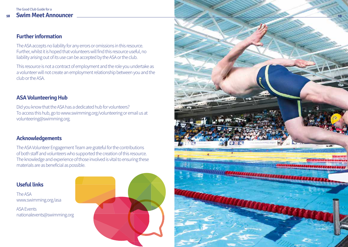## **Further information**

The ASA accepts no liability for any errors or omissions in this resource. Further, whilst it is hoped that volunteers will find this resource useful, no liability arising out of its use can be accepted by the ASA or the club.

This resource is not a contract of employment and the role you undertake as a volunteer will not create an employment relationship between you and the club or the ASA.

## **ASA Volunteering Hub**

Did you know that the ASA has a dedicated hub for volunteers? To access this hub, go to www.swimming.org/volunteering or email us at volunteering@swimming.org.

## **Acknowledgements**

The ASA Volunteer Engagement Team are grateful for the contributions of both staff and volunteers who supported the creation of this resource. The knowledge and experience of those involved is vital to ensuring these materials are as beneficial as possible.

## **Useful links**

The ASA www.swimming.org/asa

ASA Events nationalevents@swimming.org